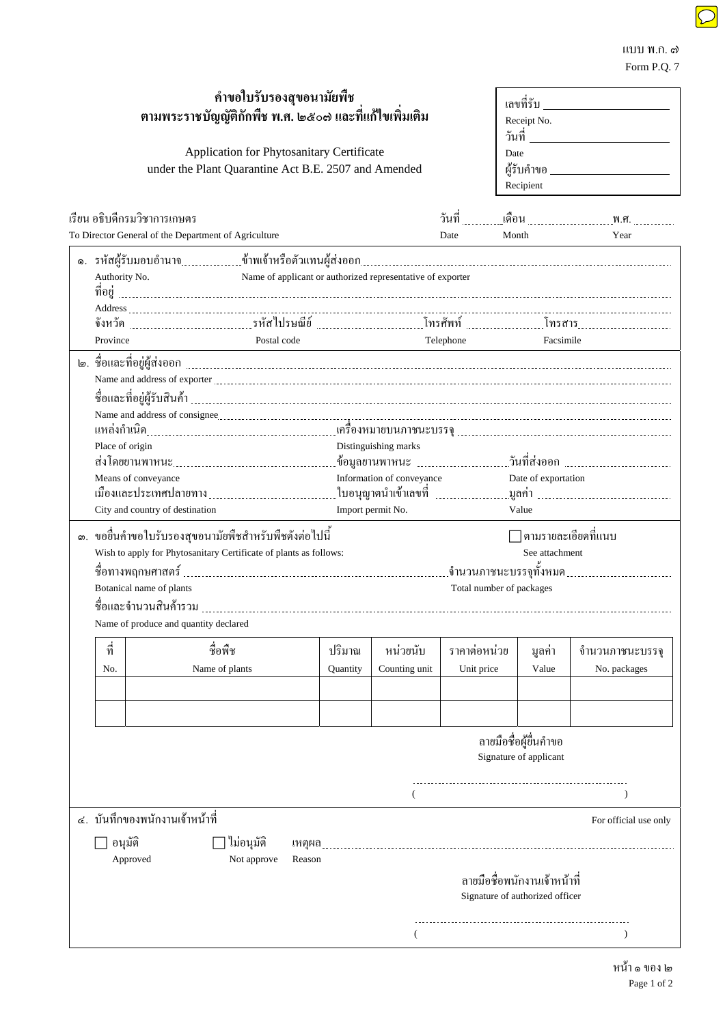| คำขอใบรับรองสุขอนามัยพืช<br>ตามพระราชบัญญัติกักพืช พ.ศ. ๒๕๐๗ และที่แก้ไขเพิ่มเติม<br>Application for Phytosanitary Certificate<br>under the Plant Quarantine Act B.E. 2507 and Amended |                                                                                                                                                                                                                                             |                                                      |                                                             |          |                                                                    |              | เลขที่รับ จาก สามารถ สามารถ<br>Receipt No.<br>วันที่ <u>________________</u> __<br>Date<br>ผู้รับคำขอ _____________________<br>Recipient |                                                                                        |
|----------------------------------------------------------------------------------------------------------------------------------------------------------------------------------------|---------------------------------------------------------------------------------------------------------------------------------------------------------------------------------------------------------------------------------------------|------------------------------------------------------|-------------------------------------------------------------|----------|--------------------------------------------------------------------|--------------|------------------------------------------------------------------------------------------------------------------------------------------|----------------------------------------------------------------------------------------|
|                                                                                                                                                                                        |                                                                                                                                                                                                                                             | เรียน อธิบดีกรมวิชาการเกษตร                          |                                                             |          |                                                                    |              |                                                                                                                                          |                                                                                        |
|                                                                                                                                                                                        |                                                                                                                                                                                                                                             | To Director General of the Department of Agriculture |                                                             |          |                                                                    | Date         | Month                                                                                                                                    | Year                                                                                   |
|                                                                                                                                                                                        | Authority No.                                                                                                                                                                                                                               |                                                      | Name of applicant or authorized representative of exporter  |          |                                                                    |              |                                                                                                                                          | ๑. รหัสผู้รับมอบอำนาจ………………ข้าพเจ้าหรือตัวแทนผู้ส่งออก…………………………………………………………………………………… |
|                                                                                                                                                                                        | Postal code<br>Province                                                                                                                                                                                                                     |                                                      |                                                             |          | Telephone<br>Facsimile<br><u> 1989 - Johann Barbara, martxa al</u> |              |                                                                                                                                          |                                                                                        |
|                                                                                                                                                                                        | Place of origin<br>Distinguishing marks<br>Information of conveyance<br>Date of exportation<br>Means of conveyance<br>Import permit No.<br>City and country of destination<br>Value<br>ึ ขอขึ้นคำขอใบรับรองสุขอนามัยพืชสำหรับพืชดังต่อไปนี้ |                                                      |                                                             |          |                                                                    |              |                                                                                                                                          |                                                                                        |
| ග.                                                                                                                                                                                     |                                                                                                                                                                                                                                             |                                                      |                                                             |          | ∏ ตามรายละเอียดที่แนบ<br>See attachment                            |              |                                                                                                                                          |                                                                                        |
|                                                                                                                                                                                        | Wish to apply for Phytosanitary Certificate of plants as follows:<br>Botanical name of plants<br>Total number of packages<br>Name of produce and quantity declared                                                                          |                                                      |                                                             |          |                                                                    |              |                                                                                                                                          |                                                                                        |
|                                                                                                                                                                                        | ที่                                                                                                                                                                                                                                         | ชื่อพืช                                              |                                                             | ปริมาณ   | หน่วยนับ                                                           | ราคาต่อหน่วย | มูลค่า                                                                                                                                   | จำนวนภาชนะบรรจุ                                                                        |
|                                                                                                                                                                                        | No.                                                                                                                                                                                                                                         | Name of plants                                       |                                                             | Quantity | Counting unit                                                      | Unit price   | Value                                                                                                                                    | No. packages                                                                           |
|                                                                                                                                                                                        |                                                                                                                                                                                                                                             |                                                      |                                                             |          |                                                                    |              | ลายมือชื่อผู้ขึ้นคำขอ<br>Signature of applicant                                                                                          |                                                                                        |
|                                                                                                                                                                                        |                                                                                                                                                                                                                                             |                                                      |                                                             |          |                                                                    |              |                                                                                                                                          |                                                                                        |
|                                                                                                                                                                                        | อนุมัติ                                                                                                                                                                                                                                     | ึ ๔. บันทึกของพนักงานเจ้าหน้าที่<br>Approved         | ใม่อนุมัติ<br><u> เหตุผล _ _ _</u><br>Not approve<br>Reason |          |                                                                    |              | ิลายมือชื่อพนักงานเจ้าหน้าที่                                                                                                            | For official use only                                                                  |
|                                                                                                                                                                                        |                                                                                                                                                                                                                                             |                                                      |                                                             |          |                                                                    |              | Signature of authorized officer                                                                                                          |                                                                                        |

 $($  )

 $\frac{1}{2}$ 

แบบ พ.ก. ๗ Form P.Q. 7